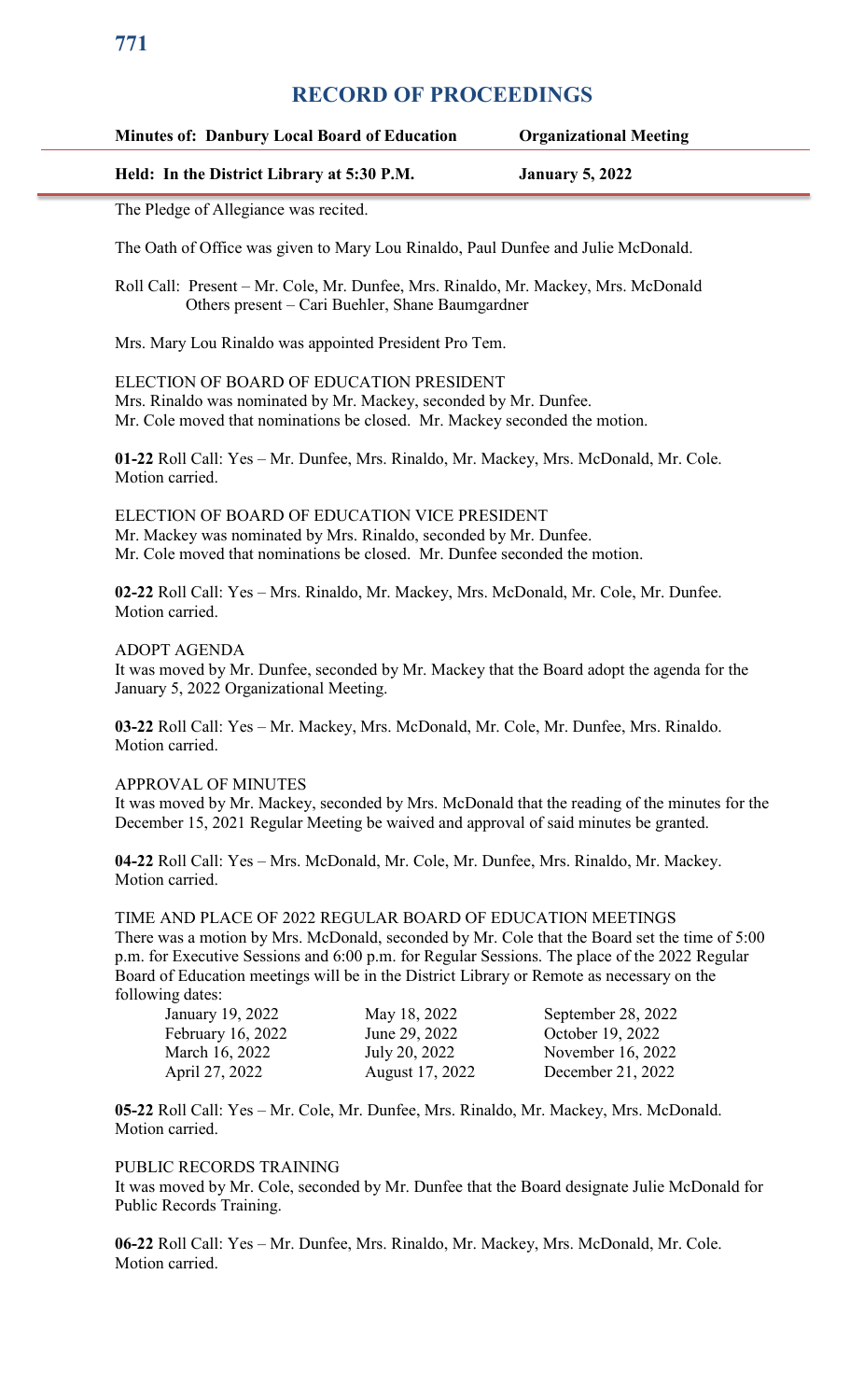## **Minutes of: Danbury Local Board of Education Organizational Meeting**

#### **Held: In the District Library at 5:30 P.M. January 5, 2022**

The Pledge of Allegiance was recited.

The Oath of Office was given to Mary Lou Rinaldo, Paul Dunfee and Julie McDonald.

Roll Call: Present – Mr. Cole, Mr. Dunfee, Mrs. Rinaldo, Mr. Mackey, Mrs. McDonald Others present – Cari Buehler, Shane Baumgardner

Mrs. Mary Lou Rinaldo was appointed President Pro Tem.

ELECTION OF BOARD OF EDUCATION PRESIDENT Mrs. Rinaldo was nominated by Mr. Mackey, seconded by Mr. Dunfee. Mr. Cole moved that nominations be closed. Mr. Mackey seconded the motion.

**01-22** Roll Call: Yes – Mr. Dunfee, Mrs. Rinaldo, Mr. Mackey, Mrs. McDonald, Mr. Cole. Motion carried.

ELECTION OF BOARD OF EDUCATION VICE PRESIDENT Mr. Mackey was nominated by Mrs. Rinaldo, seconded by Mr. Dunfee. Mr. Cole moved that nominations be closed. Mr. Dunfee seconded the motion.

**02-22** Roll Call: Yes – Mrs. Rinaldo, Mr. Mackey, Mrs. McDonald, Mr. Cole, Mr. Dunfee. Motion carried.

#### ADOPT AGENDA

It was moved by Mr. Dunfee, seconded by Mr. Mackey that the Board adopt the agenda for the January 5, 2022 Organizational Meeting.

**03-22** Roll Call: Yes – Mr. Mackey, Mrs. McDonald, Mr. Cole, Mr. Dunfee, Mrs. Rinaldo. Motion carried.

#### APPROVAL OF MINUTES

It was moved by Mr. Mackey, seconded by Mrs. McDonald that the reading of the minutes for the December 15, 2021 Regular Meeting be waived and approval of said minutes be granted.

**04-22** Roll Call: Yes – Mrs. McDonald, Mr. Cole, Mr. Dunfee, Mrs. Rinaldo, Mr. Mackey. Motion carried.

TIME AND PLACE OF 2022 REGULAR BOARD OF EDUCATION MEETINGS There was a motion by Mrs. McDonald, seconded by Mr. Cole that the Board set the time of 5:00 p.m. for Executive Sessions and 6:00 p.m. for Regular Sessions. The place of the 2022 Regular Board of Education meetings will be in the District Library or Remote as necessary on the following dates:

| January 19, 2022  | May 18, 2022    | September 28, 2022 |
|-------------------|-----------------|--------------------|
| February 16, 2022 | June 29, 2022   | October 19, 2022   |
| March 16, 2022    | July 20, 2022   | November 16, 2022  |
| April 27, 2022    | August 17, 2022 | December 21, 2022  |

**05-22** Roll Call: Yes – Mr. Cole, Mr. Dunfee, Mrs. Rinaldo, Mr. Mackey, Mrs. McDonald. Motion carried.

#### PUBLIC RECORDS TRAINING

It was moved by Mr. Cole, seconded by Mr. Dunfee that the Board designate Julie McDonald for Public Records Training.

**06-22** Roll Call: Yes – Mr. Dunfee, Mrs. Rinaldo, Mr. Mackey, Mrs. McDonald, Mr. Cole. Motion carried.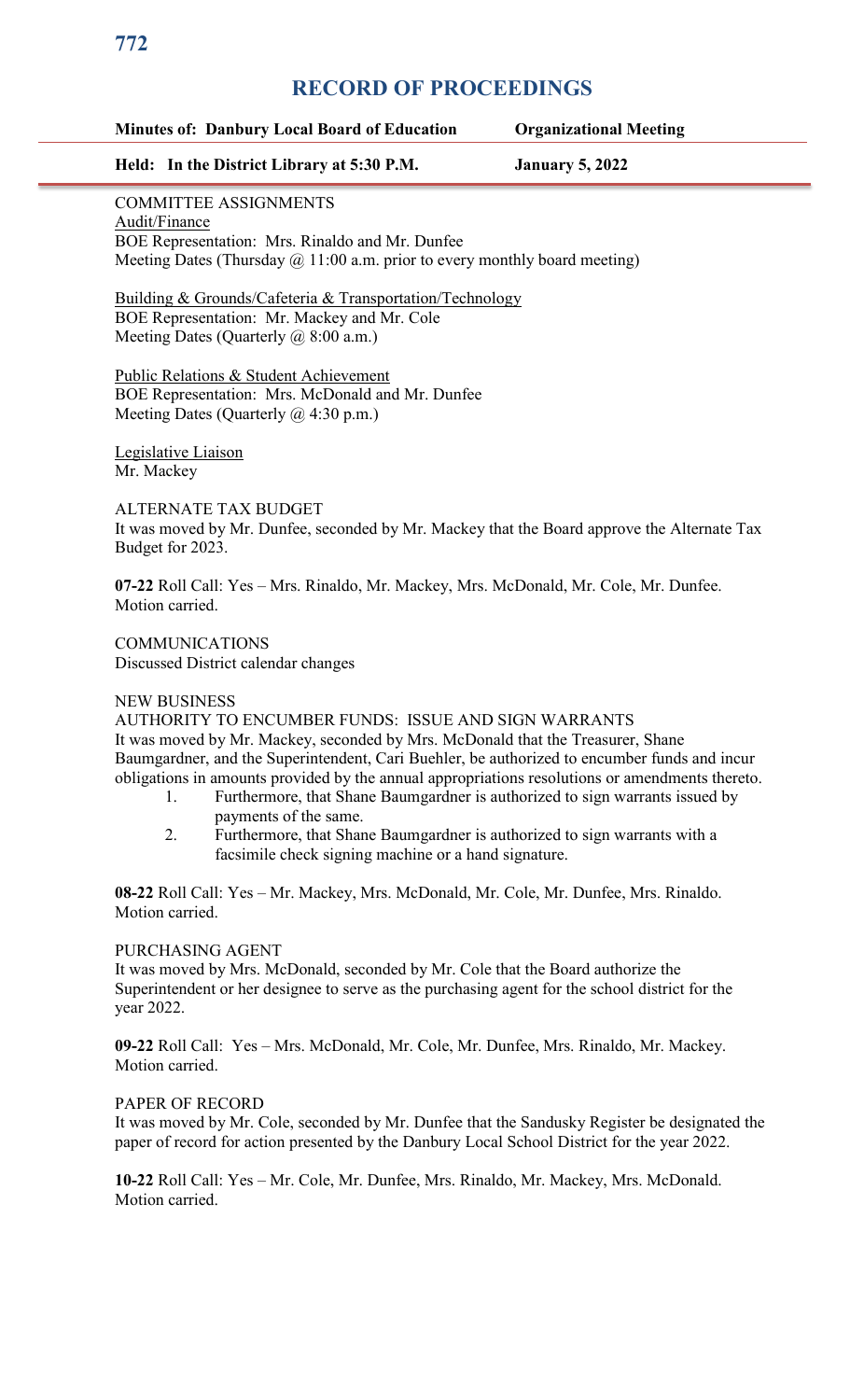## **Minutes of: Danbury Local Board of Education Organizational Meeting**

## **Held: In the District Library at 5:30 P.M. January 5, 2022**

## COMMITTEE ASSIGNMENTS

Audit/Finance BOE Representation: Mrs. Rinaldo and Mr. Dunfee Meeting Dates (Thursday  $\omega$  11:00 a.m. prior to every monthly board meeting)

Building & Grounds/Cafeteria & Transportation/Technology BOE Representation: Mr. Mackey and Mr. Cole Meeting Dates (Quarterly @ 8:00 a.m.)

Public Relations & Student Achievement BOE Representation: Mrs. McDonald and Mr. Dunfee Meeting Dates (Quarterly @ 4:30 p.m.)

Legislative Liaison Mr. Mackey

## ALTERNATE TAX BUDGET

It was moved by Mr. Dunfee, seconded by Mr. Mackey that the Board approve the Alternate Tax Budget for 2023.

**07-22** Roll Call: Yes – Mrs. Rinaldo, Mr. Mackey, Mrs. McDonald, Mr. Cole, Mr. Dunfee. Motion carried.

**COMMUNICATIONS** Discussed District calendar changes

#### NEW BUSINESS

AUTHORITY TO ENCUMBER FUNDS: ISSUE AND SIGN WARRANTS It was moved by Mr. Mackey, seconded by Mrs. McDonald that the Treasurer, Shane Baumgardner, and the Superintendent, Cari Buehler, be authorized to encumber funds and incur obligations in amounts provided by the annual appropriations resolutions or amendments thereto.

- 1. Furthermore, that Shane Baumgardner is authorized to sign warrants issued by payments of the same.
	- 2. Furthermore, that Shane Baumgardner is authorized to sign warrants with a facsimile check signing machine or a hand signature.

**08-22** Roll Call: Yes – Mr. Mackey, Mrs. McDonald, Mr. Cole, Mr. Dunfee, Mrs. Rinaldo. Motion carried.

## PURCHASING AGENT

It was moved by Mrs. McDonald, seconded by Mr. Cole that the Board authorize the Superintendent or her designee to serve as the purchasing agent for the school district for the year 2022.

**09-22** Roll Call: Yes – Mrs. McDonald, Mr. Cole, Mr. Dunfee, Mrs. Rinaldo, Mr. Mackey. Motion carried.

## PAPER OF RECORD

It was moved by Mr. Cole, seconded by Mr. Dunfee that the Sandusky Register be designated the paper of record for action presented by the Danbury Local School District for the year 2022.

**10-22** Roll Call: Yes – Mr. Cole, Mr. Dunfee, Mrs. Rinaldo, Mr. Mackey, Mrs. McDonald. Motion carried.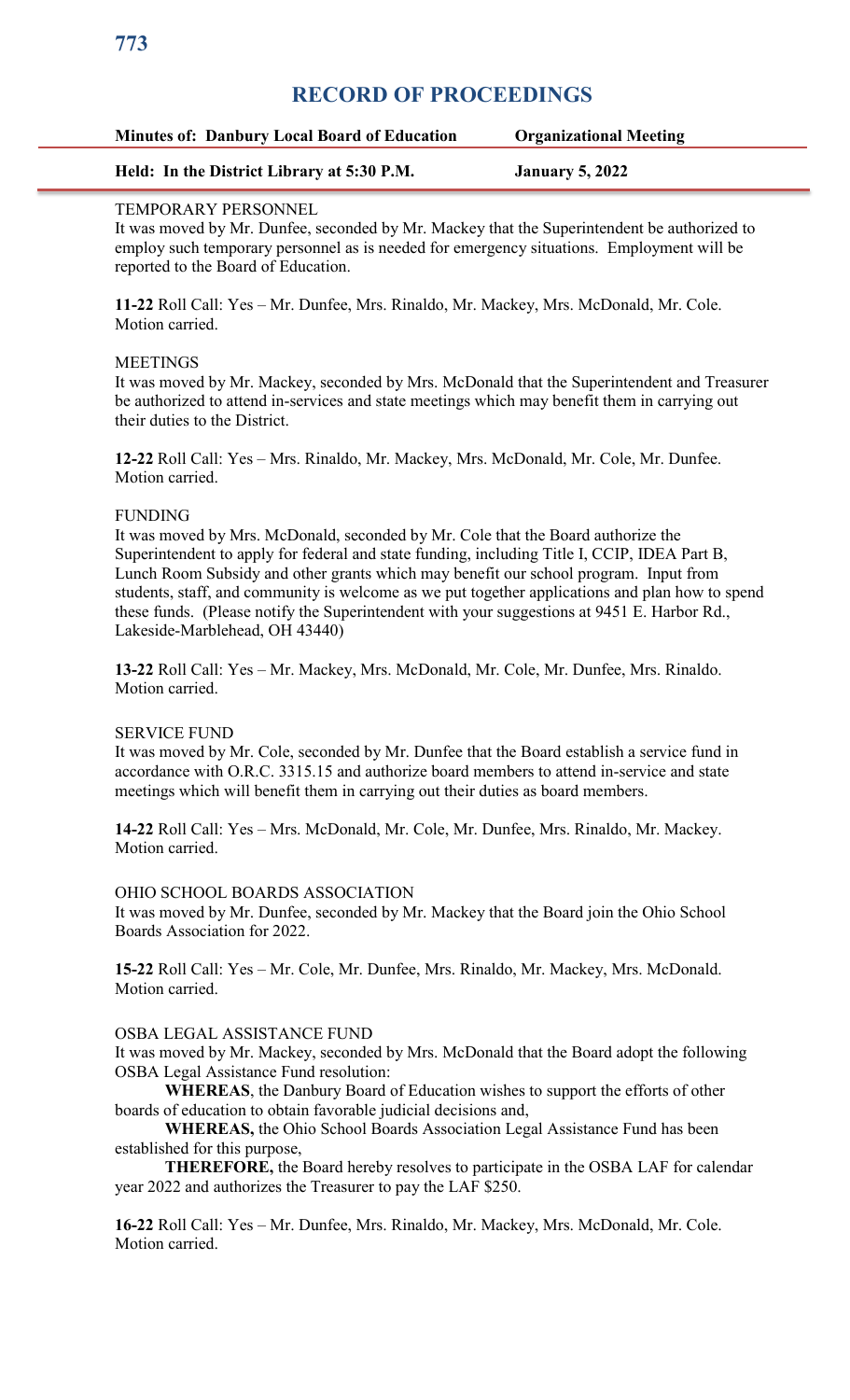## **Minutes of: Danbury Local Board of Education Organizational Meeting**

## **Held: In the District Library at 5:30 P.M. January 5, 2022**

## TEMPORARY PERSONNEL

It was moved by Mr. Dunfee, seconded by Mr. Mackey that the Superintendent be authorized to employ such temporary personnel as is needed for emergency situations. Employment will be reported to the Board of Education.

**11-22** Roll Call: Yes – Mr. Dunfee, Mrs. Rinaldo, Mr. Mackey, Mrs. McDonald, Mr. Cole. Motion carried.

#### **MEETINGS**

It was moved by Mr. Mackey, seconded by Mrs. McDonald that the Superintendent and Treasurer be authorized to attend in-services and state meetings which may benefit them in carrying out their duties to the District.

**12-22** Roll Call: Yes – Mrs. Rinaldo, Mr. Mackey, Mrs. McDonald, Mr. Cole, Mr. Dunfee. Motion carried.

#### FUNDING

It was moved by Mrs. McDonald, seconded by Mr. Cole that the Board authorize the Superintendent to apply for federal and state funding, including Title I, CCIP, IDEA Part B, Lunch Room Subsidy and other grants which may benefit our school program. Input from students, staff, and community is welcome as we put together applications and plan how to spend these funds. (Please notify the Superintendent with your suggestions at 9451 E. Harbor Rd., Lakeside-Marblehead, OH 43440)

**13-22** Roll Call: Yes – Mr. Mackey, Mrs. McDonald, Mr. Cole, Mr. Dunfee, Mrs. Rinaldo. Motion carried.

#### SERVICE FUND

It was moved by Mr. Cole, seconded by Mr. Dunfee that the Board establish a service fund in accordance with O.R.C. 3315.15 and authorize board members to attend in-service and state meetings which will benefit them in carrying out their duties as board members.

**14-22** Roll Call: Yes – Mrs. McDonald, Mr. Cole, Mr. Dunfee, Mrs. Rinaldo, Mr. Mackey. Motion carried.

#### OHIO SCHOOL BOARDS ASSOCIATION

It was moved by Mr. Dunfee, seconded by Mr. Mackey that the Board join the Ohio School Boards Association for 2022.

**15-22** Roll Call: Yes – Mr. Cole, Mr. Dunfee, Mrs. Rinaldo, Mr. Mackey, Mrs. McDonald. Motion carried.

#### OSBA LEGAL ASSISTANCE FUND

It was moved by Mr. Mackey, seconded by Mrs. McDonald that the Board adopt the following OSBA Legal Assistance Fund resolution:

**WHEREAS**, the Danbury Board of Education wishes to support the efforts of other boards of education to obtain favorable judicial decisions and,

**WHEREAS,** the Ohio School Boards Association Legal Assistance Fund has been established for this purpose,

**THEREFORE,** the Board hereby resolves to participate in the OSBA LAF for calendar year 2022 and authorizes the Treasurer to pay the LAF \$250.

**16-22** Roll Call: Yes – Mr. Dunfee, Mrs. Rinaldo, Mr. Mackey, Mrs. McDonald, Mr. Cole. Motion carried.